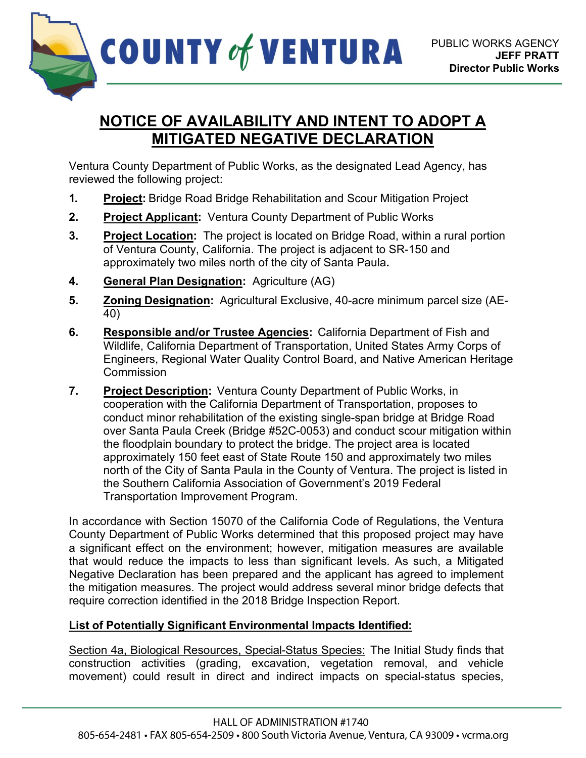

## **NOTICE OF AVAILABILITY AND INTENT TO ADOPT A MITIGATED NEGATIVE DECLARATION**

Ventura County Department of Public Works, as the designated Lead Agency, has reviewed the following project:

- **1. Project:** Bridge Road Bridge Rehabilitation and Scour Mitigation Project
- **2. Project Applicant:** Ventura County Department of Public Works
- **3. Project Location:** The project is located on Bridge Road, within a rural portion of Ventura County, California. The project is adjacent to SR-150 and approximately two miles north of the city of Santa Paula**.**
- **4. General Plan Designation:** Agriculture (AG)
- **5. Zoning Designation:** Agricultural Exclusive, 40-acre minimum parcel size (AE-40)
- **6. Responsible and/or Trustee Agencies:** California Department of Fish and Wildlife, California Department of Transportation, United States Army Corps of Engineers, Regional Water Quality Control Board, and Native American Heritage **Commission**
- **7. Project Description:** Ventura County Department of Public Works, in cooperation with the California Department of Transportation, proposes to conduct minor rehabilitation of the existing single-span bridge at Bridge Road over Santa Paula Creek (Bridge #52C-0053) and conduct scour mitigation within the floodplain boundary to protect the bridge. The project area is located approximately 150 feet east of State Route 150 and approximately two miles north of the City of Santa Paula in the County of Ventura. The project is listed in the Southern California Association of Government's 2019 Federal Transportation Improvement Program.

In accordance with Section 15070 of the California Code of Regulations, the Ventura County Department of Public Works determined that this proposed project may have a significant effect on the environment; however, mitigation measures are available that would reduce the impacts to less than significant levels. As such, a Mitigated Negative Declaration has been prepared and the applicant has agreed to implement the mitigation measures. The project would address several minor bridge defects that require correction identified in the 2018 Bridge Inspection Report.

## **List of Potentially Significant Environmental Impacts Identified:**

Section 4a, Biological Resources, Special-Status Species: The Initial Study finds that construction activities (grading, excavation, vegetation removal, and vehicle movement) could result in direct and indirect impacts on special-status species,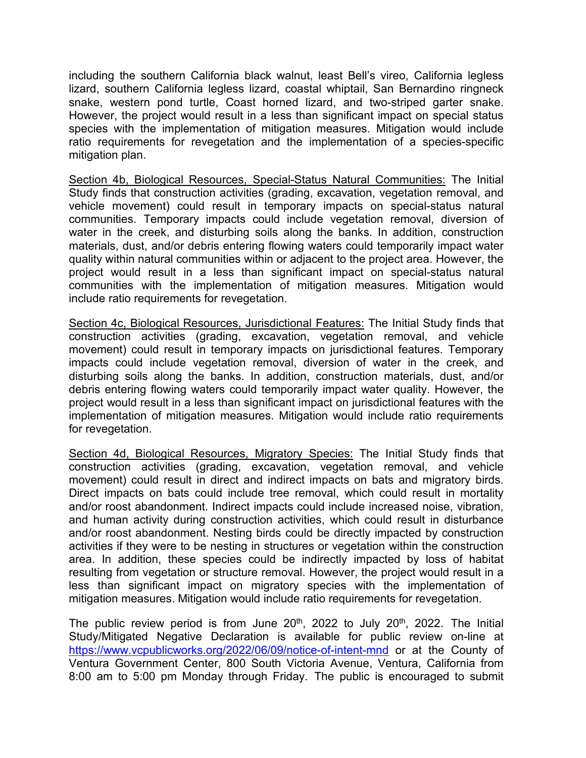including the southern California black walnut, least Bell's vireo, California legless lizard, southern California legless lizard, coastal whiptail, San Bernardino ringneck snake, western pond turtle, Coast horned lizard, and two-striped garter snake. However, the project would result in a less than significant impact on special status species with the implementation of mitigation measures. Mitigation would include ratio requirements for revegetation and the implementation of a species-specific mitigation plan.

Section 4b, Biological Resources, Special-Status Natural Communities: The Initial Study finds that construction activities (grading, excavation, vegetation removal, and vehicle movement) could result in temporary impacts on special-status natural communities. Temporary impacts could include vegetation removal, diversion of water in the creek, and disturbing soils along the banks. In addition, construction materials, dust, and/or debris entering flowing waters could temporarily impact water quality within natural communities within or adjacent to the project area. However, the project would result in a less than significant impact on special-status natural communities with the implementation of mitigation measures. Mitigation would include ratio requirements for revegetation.

Section 4c, Biological Resources, Jurisdictional Features: The Initial Study finds that construction activities (grading, excavation, vegetation removal, and vehicle movement) could result in temporary impacts on jurisdictional features. Temporary impacts could include vegetation removal, diversion of water in the creek, and disturbing soils along the banks. In addition, construction materials, dust, and/or debris entering flowing waters could temporarily impact water quality. However, the project would result in a less than significant impact on jurisdictional features with the implementation of mitigation measures. Mitigation would include ratio requirements for revegetation.

Section 4d, Biological Resources, Migratory Species: The Initial Study finds that construction activities (grading, excavation, vegetation removal, and vehicle movement) could result in direct and indirect impacts on bats and migratory birds. Direct impacts on bats could include tree removal, which could result in mortality and/or roost abandonment. Indirect impacts could include increased noise, vibration, and human activity during construction activities, which could result in disturbance and/or roost abandonment. Nesting birds could be directly impacted by construction activities if they were to be nesting in structures or vegetation within the construction area. In addition, these species could be indirectly impacted by loss of habitat resulting from vegetation or structure removal. However, the project would result in a less than significant impact on migratory species with the implementation of mitigation measures. Mitigation would include ratio requirements for revegetation.

The public review period is from June  $20<sup>th</sup>$ ,  $2022$  to July  $20<sup>th</sup>$ ,  $2022$ . The Initial Study/Mitigated Negative Declaration is available for public review on-line at <https://www.vcpublicworks.org/2022/06/09/notice-of-intent-mnd> or at the County of Ventura Government Center, 800 South Victoria Avenue, Ventura, California from 8:00 am to 5:00 pm Monday through Friday. The public is encouraged to submit